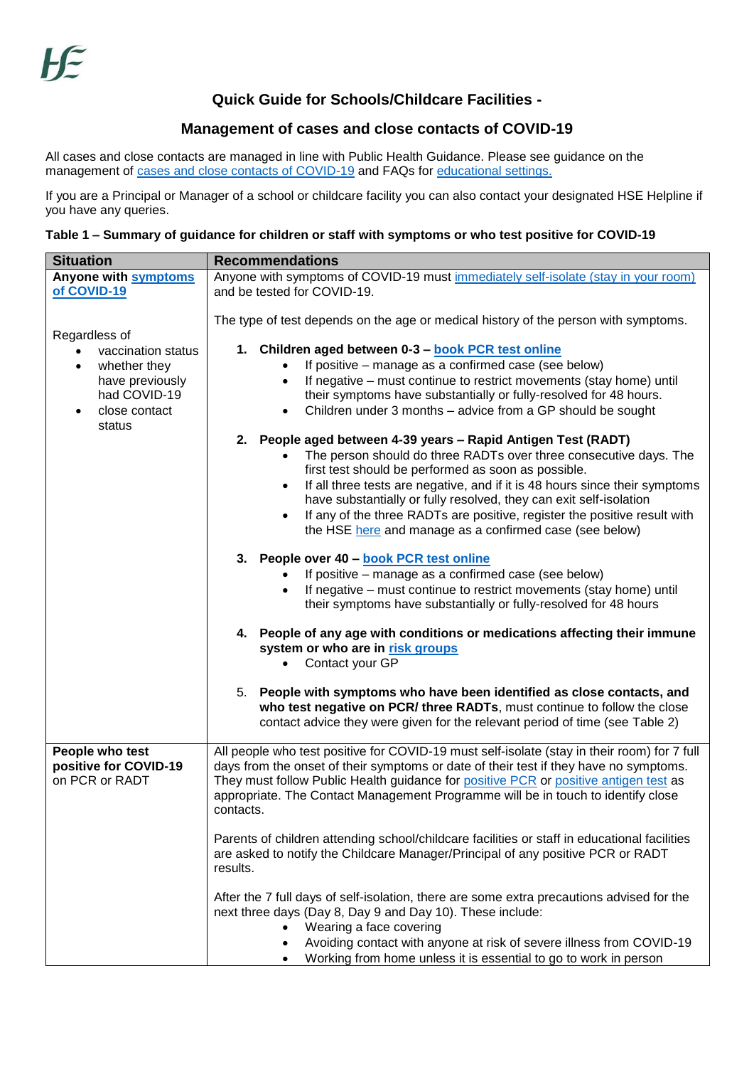## **Quick Guide for Schools/Childcare Facilities -**

## **Management of cases and close contacts of COVID-19**

All cases and close contacts are managed in line with Public Health Guidance. Please see guidance on the management of [cases and close contacts of COVID-19](https://www.hpsc.ie/a-z/respiratory/coronavirus/novelcoronavirus/guidance/contacttracingguidance/National%20Interim%20Guidance%20for%20contact%20tracing.pdf) and FAQs for [educational settings.](https://www.hpsc.ie/a-z/respiratory/coronavirus/novelcoronavirus/guidance/educationguidance/FAQs%20for%20changes%20to%20contact%20tracing%20for%20children.pdf)

If you are a Principal or Manager of a school or childcare facility you can also contact your designated HSE Helpline if you have any queries.

## **Table 1 – Summary of guidance for children or staff with symptoms or who test positive for COVID-19**

| <b>Situation</b>                                                                                 | <b>Recommendations</b>                                                                                                                                                                                                                                                                                                                                                                                                                                                                    |
|--------------------------------------------------------------------------------------------------|-------------------------------------------------------------------------------------------------------------------------------------------------------------------------------------------------------------------------------------------------------------------------------------------------------------------------------------------------------------------------------------------------------------------------------------------------------------------------------------------|
| Anyone with symptoms                                                                             | Anyone with symptoms of COVID-19 must immediately self-isolate (stay in your room)                                                                                                                                                                                                                                                                                                                                                                                                        |
| of COVID-19                                                                                      | and be tested for COVID-19.                                                                                                                                                                                                                                                                                                                                                                                                                                                               |
| Regardless of                                                                                    | The type of test depends on the age or medical history of the person with symptoms.                                                                                                                                                                                                                                                                                                                                                                                                       |
| vaccination status<br>whether they<br>have previously<br>had COVID-19<br>close contact<br>status | 1. Children aged between 0-3 - book PCR test online<br>If positive – manage as a confirmed case (see below)<br>If negative – must continue to restrict movements (stay home) until<br>their symptoms have substantially or fully-resolved for 48 hours.<br>Children under 3 months - advice from a GP should be sought                                                                                                                                                                    |
|                                                                                                  | People aged between 4-39 years - Rapid Antigen Test (RADT)<br>2.<br>The person should do three RADTs over three consecutive days. The<br>first test should be performed as soon as possible.<br>If all three tests are negative, and if it is 48 hours since their symptoms<br>have substantially or fully resolved, they can exit self-isolation<br>If any of the three RADTs are positive, register the positive result with<br>the HSE here and manage as a confirmed case (see below) |
|                                                                                                  | 3. People over 40 - book PCR test online<br>If positive – manage as a confirmed case (see below)<br>If negative – must continue to restrict movements (stay home) until<br>their symptoms have substantially or fully-resolved for 48 hours                                                                                                                                                                                                                                               |
|                                                                                                  | 4. People of any age with conditions or medications affecting their immune<br>system or who are in risk groups<br>Contact your GP                                                                                                                                                                                                                                                                                                                                                         |
|                                                                                                  | 5. People with symptoms who have been identified as close contacts, and<br>who test negative on PCR/ three RADTs, must continue to follow the close<br>contact advice they were given for the relevant period of time (see Table 2)                                                                                                                                                                                                                                                       |
| People who test<br>positive for COVID-19<br>on PCR or RADT                                       | All people who test positive for COVID-19 must self-isolate (stay in their room) for 7 full<br>days from the onset of their symptoms or date of their test if they have no symptoms.<br>They must follow Public Health guidance for positive PCR or positive antigen test as<br>appropriate. The Contact Management Programme will be in touch to identify close<br>contacts.                                                                                                             |
|                                                                                                  | Parents of children attending school/childcare facilities or staff in educational facilities<br>are asked to notify the Childcare Manager/Principal of any positive PCR or RADT<br>results.                                                                                                                                                                                                                                                                                               |
|                                                                                                  | After the 7 full days of self-isolation, there are some extra precautions advised for the<br>next three days (Day 8, Day 9 and Day 10). These include:<br>Wearing a face covering<br>Avoiding contact with anyone at risk of severe illness from COVID-19<br>Working from home unless it is essential to go to work in person                                                                                                                                                             |